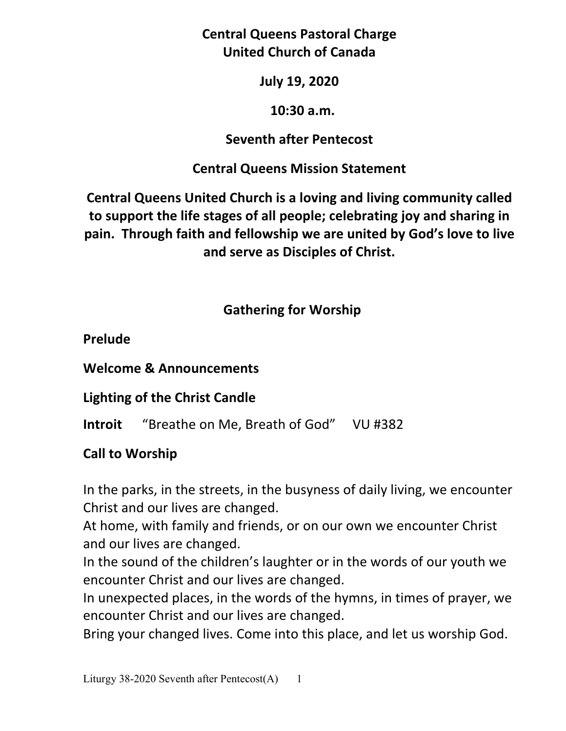**Central Queens Pastoral Charge United Church of Canada** 

**July 19, 2020** 

### **10:30 a.m.**

## **Seventh after Pentecost**

## **Central Queens Mission Statement**

**Central Queens United Church is a loving and living community called to support the life stages of all people; celebrating joy and sharing in pain. Through faith and fellowship we are united by God's love to live and serve as Disciples of Christ.**

## **Gathering for Worship**

## **Prelude**

**Welcome & Announcements** 

**Lighting of the Christ Candle** 

**Introit** "Breathe on Me, Breath of God" VU #382

# **Call to Worship**

In the parks, in the streets, in the busyness of daily living, we encounter Christ and our lives are changed.

At home, with family and friends, or on our own we encounter Christ and our lives are changed.

In the sound of the children's laughter or in the words of our youth we encounter Christ and our lives are changed.

In unexpected places, in the words of the hymns, in times of prayer, we encounter Christ and our lives are changed.

Bring your changed lives. Come into this place, and let us worship God.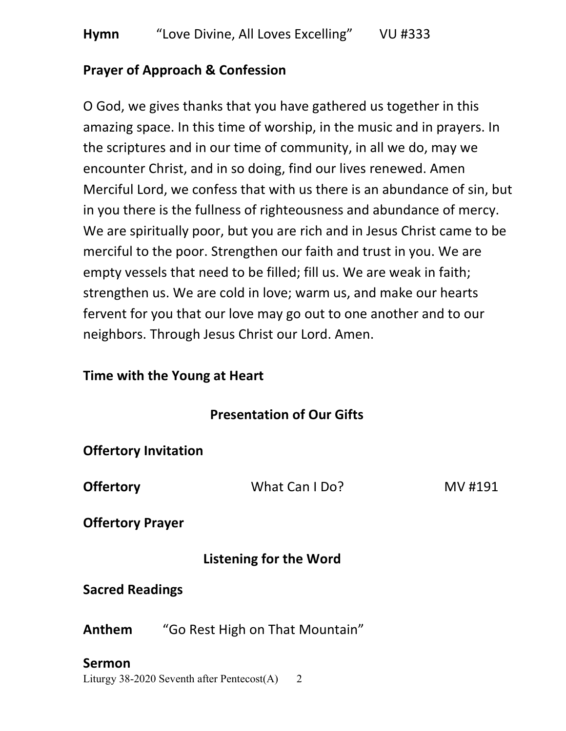### **Prayer of Approach & Confession**

O God, we gives thanks that you have gathered us together in this amazing space. In this time of worship, in the music and in prayers. In the scriptures and in our time of community, in all we do, may we encounter Christ, and in so doing, find our lives renewed. Amen Merciful Lord, we confess that with us there is an abundance of sin, but in you there is the fullness of righteousness and abundance of mercy. We are spiritually poor, but you are rich and in Jesus Christ came to be merciful to the poor. Strengthen our faith and trust in you. We are empty vessels that need to be filled; fill us. We are weak in faith; strengthen us. We are cold in love; warm us, and make our hearts fervent for you that our love may go out to one another and to our neighbors. Through Jesus Christ our Lord. Amen.

#### **Time with the Young at Heart**

### **Presentation of Our Gifts**

| <b>Offertory Invitation</b>   |                                 |         |
|-------------------------------|---------------------------------|---------|
| <b>Offertory</b>              | What Can I Do?                  | MV #191 |
| <b>Offertory Prayer</b>       |                                 |         |
| <b>Listening for the Word</b> |                                 |         |
| <b>Sacred Readings</b>        |                                 |         |
| Anthem                        | "Go Rest High on That Mountain" |         |
| Sermon                        |                                 |         |

Liturgy 38-2020 Seventh after Pentecost $(A)$  2